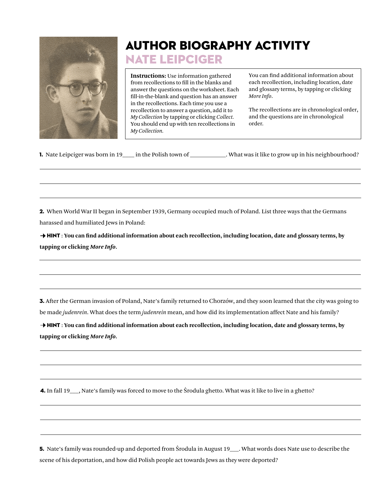

## author biography activity Nate leipciger

**Instructions:** Use information gathered from recollections to fill in the blanks and answer the questions on the worksheet. Each fill-in-the-blank and question has an answer in the recollections. Each time you use a recollection to answer a question, add it to *My Collection* by tapping or clicking *Collect.* You should end up with ten recollections in *My Collection.*

You can find additional information about each recollection, including location, date and glossary terms, by tapping or clicking *More Info*.

The recollections are in chronological order, and the questions are in chronological order.

|  | <b>1.</b> Nate Leipciger was born in 19 | in the Polish town of |  |
|--|-----------------------------------------|-----------------------|--|
|  |                                         |                       |  |

1. Nate Wester was it like to grow up in his neighbourhood?

2. When World War II began in September 1939, Germany occupied much of Poland. List three ways that the Germans harassed and humiliated Jews in Poland:

→ **HINT** : You can find additional information about each recollection, including location, date and glossary terms, by **tapping or clicking** *More Info***.**

3. After the German invasion of Poland, Nate's family returned to Chorzów, and they soon learned that the city was going to be made *judenrein*. What does the term *judenrein* mean, and how did its implementation affect Nate and his family?

→ **HINT** : You can find additional information about each recollection, including location, date and glossary terms, by **tapping or clicking** *More Info***.**

4. In fall 19<sub>\_\_\_</sub>, Nate's family was forced to move to the Środula ghetto. What was it like to live in a ghetto?

5. Nate's family was rounded-up and deported from Środula in August 19\_\_\_. What words does Nate use to describe the scene of his deportation, and how did Polish people act towards Jews as they were deported?